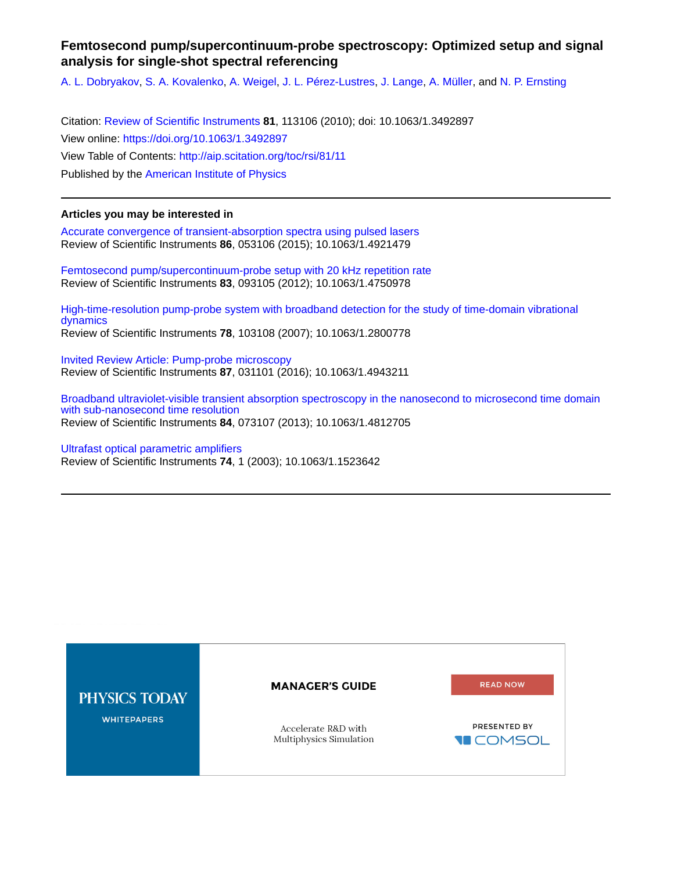# **Femtosecond pump/supercontinuum-probe spectroscopy: Optimized setup and signal analysis for single-shot spectral referencing**

[A. L. Dobryakov](http://aip.scitation.org/author/Dobryakov%2C+A+L), [S. A. Kovalenko](http://aip.scitation.org/author/Kovalenko%2C+S+A), [A. Weigel](http://aip.scitation.org/author/Weigel%2C+A), [J. L. Pérez-Lustres,](http://aip.scitation.org/author/P%C3%A9rez-Lustres%2C+J+L) [J. Lange,](http://aip.scitation.org/author/Lange%2C+J) [A. Müller](http://aip.scitation.org/author/M%C3%BCller%2C+A), and [N. P. Ernsting](http://aip.scitation.org/author/Ernsting%2C+N+P)

Citation: [Review of Scientific Instruments](/loi/rsi) **81**, 113106 (2010); doi: 10.1063/1.3492897 View online: <https://doi.org/10.1063/1.3492897> View Table of Contents: <http://aip.scitation.org/toc/rsi/81/11> Published by the [American Institute of Physics](http://aip.scitation.org/publisher/)

# **Articles you may be interested in**

[Accurate convergence of transient-absorption spectra using pulsed lasers](http://aip.scitation.org/doi/abs/10.1063/1.4921479) Review of Scientific Instruments **86**, 053106 (2015); 10.1063/1.4921479

[Femtosecond pump/supercontinuum-probe setup with 20 kHz repetition rate](http://aip.scitation.org/doi/abs/10.1063/1.4750978) Review of Scientific Instruments **83**, 093105 (2012); 10.1063/1.4750978

[High-time-resolution pump-probe system with broadband detection for the study of time-domain vibrational](http://aip.scitation.org/doi/abs/10.1063/1.2800778) [dynamics](http://aip.scitation.org/doi/abs/10.1063/1.2800778) Review of Scientific Instruments **78**, 103108 (2007); 10.1063/1.2800778

[Invited Review Article: Pump-probe microscopy](http://aip.scitation.org/doi/abs/10.1063/1.4943211) Review of Scientific Instruments **87**, 031101 (2016); 10.1063/1.4943211

[Broadband ultraviolet-visible transient absorption spectroscopy in the nanosecond to microsecond time domain](http://aip.scitation.org/doi/abs/10.1063/1.4812705) [with sub-nanosecond time resolution](http://aip.scitation.org/doi/abs/10.1063/1.4812705) Review of Scientific Instruments **84**, 073107 (2013); 10.1063/1.4812705

[Ultrafast optical parametric amplifiers](http://aip.scitation.org/doi/abs/10.1063/1.1523642) Review of Scientific Instruments **74**, 1 (2003); 10.1063/1.1523642

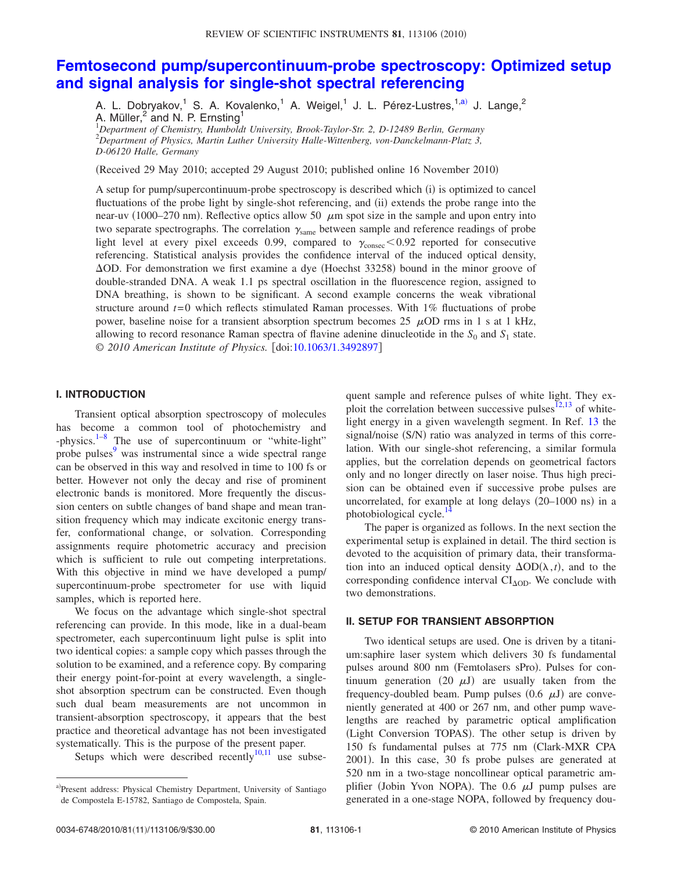# **[Femtosecond pump/supercontinuum-probe spectroscopy: Optimized setup](http://dx.doi.org/10.1063/1.3492897) [and signal analysis for single-shot spectral referencing](http://dx.doi.org/10.1063/1.3492897)**

A. L. Dobryakov,<sup>1</sup> S. A. Kovalenko,<sup>1</sup> A. Weigel,<sup>1</sup> J. L. Pérez-Lustres,<sup>1[,a](#page-1-0))</sup> J. Lange,<sup>2</sup> A. Müller, $^2$  and N. P. Ernsting<sup>1</sup>

1 *Department of Chemistry, Humboldt University, Brook-Taylor-Str. 2, D-12489 Berlin, Germany* 2 *Department of Physics, Martin Luther University Halle-Wittenberg, von-Danckelmann-Platz 3, D-06120 Halle, Germany*

(Received 29 May 2010; accepted 29 August 2010; published online 16 November 2010)

A setup for pump/supercontinuum-probe spectroscopy is described which (i) is optimized to cancel fluctuations of the probe light by single-shot referencing, and (ii) extends the probe range into the near-uv (1000–270 nm). Reflective optics allow 50  $\mu$ m spot size in the sample and upon entry into two separate spectrographs. The correlation  $\gamma_{\rm same}$  between sample and reference readings of probe light level at every pixel exceeds 0.99, compared to  $\gamma_{\text{consec}}$  < 0.92 reported for consecutive referencing. Statistical analysis provides the confidence interval of the induced optical density,  $\Delta$ OD. For demonstration we first examine a dye (Hoechst 33258) bound in the minor groove of double-stranded DNA. A weak 1.1 ps spectral oscillation in the fluorescence region, assigned to DNA breathing, is shown to be significant. A second example concerns the weak vibrational structure around *t*= 0 which reflects stimulated Raman processes. With 1% fluctuations of probe power, baseline noise for a transient absorption spectrum becomes 25  $\mu$ OD rms in 1 s at 1 kHz, allowing to record resonance Raman spectra of flavine adenine dinucleotide in the  $S_0$  and  $S_1$  state. *© 2010 American Institute of Physics.* doi[:10.1063/1.3492897](http://dx.doi.org/10.1063/1.3492897)

### **I. INTRODUCTION**

Transient optical absorption spectroscopy of molecules has become a common tool of photochemistry and -physics.<sup>1[–8](#page-9-1)</sup> The use of supercontinuum or "white-light" probe pulses<sup>9</sup> was instrumental since a wide spectral range can be observed in this way and resolved in time to 100 fs or better. However not only the decay and rise of prominent electronic bands is monitored. More frequently the discussion centers on subtle changes of band shape and mean transition frequency which may indicate excitonic energy transfer, conformational change, or solvation. Corresponding assignments require photometric accuracy and precision which is sufficient to rule out competing interpretations. With this objective in mind we have developed a pump/ supercontinuum-probe spectrometer for use with liquid samples, which is reported here.

We focus on the advantage which single-shot spectral referencing can provide. In this mode, like in a dual-beam spectrometer, each supercontinuum light pulse is split into two identical copies: a sample copy which passes through the solution to be examined, and a reference copy. By comparing their energy point-for-point at every wavelength, a singleshot absorption spectrum can be constructed. Even though such dual beam measurements are not uncommon in transient-absorption spectroscopy, it appears that the best practice and theoretical advantage has not been investigated systematically. This is the purpose of the present paper.

Setups which were described recently<sup>10,[11](#page-9-4)</sup> use subse-

quent sample and reference pulses of white light. They ex-ploit the correlation between successive pulses<sup>12[,13](#page-9-6)</sup> of whitelight energy in a given wavelength segment. In Ref. [13](#page-9-6) the signal/noise (S/N) ratio was analyzed in terms of this correlation. With our single-shot referencing, a similar formula applies, but the correlation depends on geometrical factors only and no longer directly on laser noise. Thus high precision can be obtained even if successive probe pulses are uncorrelated, for example at long delays (20-1000 ns) in a photobiological cycle.<sup>14</sup>

The paper is organized as follows. In the next section the experimental setup is explained in detail. The third section is devoted to the acquisition of primary data, their transformation into an induced optical density  $\Delta OD(\lambda, t)$ , and to the corresponding confidence interval  $CI<sub>AOD</sub>$ . We conclude with two demonstrations.

#### **II. SETUP FOR TRANSIENT ABSORPTION**

Two identical setups are used. One is driven by a titanium:saphire laser system which delivers 30 fs fundamental pulses around 800 nm (Femtolasers sPro). Pulses for continuum generation (20  $\mu$ J) are usually taken from the frequency-doubled beam. Pump pulses  $(0.6 \mu J)$  are conveniently generated at 400 or 267 nm, and other pump wavelengths are reached by parametric optical amplification (Light Conversion TOPAS). The other setup is driven by 150 fs fundamental pulses at 775 nm (Clark-MXR CPA 2001. In this case, 30 fs probe pulses are generated at 520 nm in a two-stage noncollinear optical parametric amplifier (Jobin Yvon NOPA). The 0.6  $\mu$ J pump pulses are generated in a one-stage NOPA, followed by frequency dou-

<span id="page-1-0"></span>a)Present address: Physical Chemistry Department, University of Santiago de Compostela E-15782, Santiago de Compostela, Spain.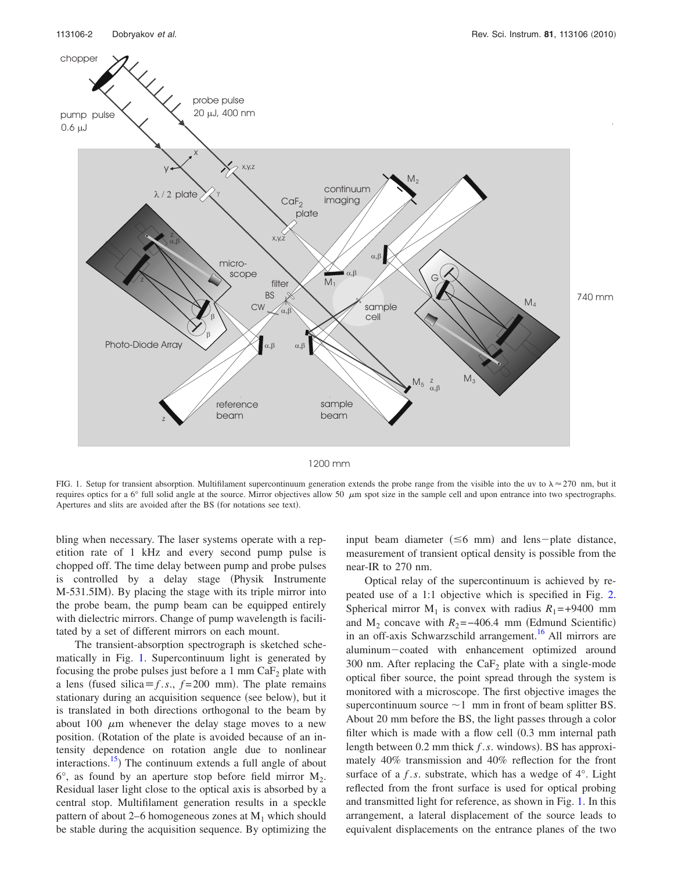<span id="page-2-0"></span>

1200 mm

FIG. 1. Setup for transient absorption. Multifilament supercontinuum generation extends the probe range from the visible into the uv to  $\lambda \approx 270$  nm, but it requires optics for a 6 $\degree$  full solid angle at the source. Mirror objectives allow 50  $\mu$ m spot size in the sample cell and upon entrance into two spectrographs. Apertures and slits are avoided after the BS (for notations see text).

bling when necessary. The laser systems operate with a repetition rate of 1 kHz and every second pump pulse is chopped off. The time delay between pump and probe pulses is controlled by a delay stage (Physik Instrumente M-531.5IM. By placing the stage with its triple mirror into the probe beam, the pump beam can be equipped entirely with dielectric mirrors. Change of pump wavelength is facilitated by a set of different mirrors on each mount.

The transient-absorption spectrograph is sketched schematically in Fig. [1.](#page-2-0) Supercontinuum light is generated by focusing the probe pulses just before a 1 mm  $CaF<sub>2</sub>$  plate with a lens (fused silica  $\equiv$  *f* .*s*., *f* = 200 mm). The plate remains stationary during an acquisition sequence (see below), but it is translated in both directions orthogonal to the beam by about 100  $\mu$ m whenever the delay stage moves to a new position. (Rotation of the plate is avoided because of an intensity dependence on rotation angle due to nonlinear interactions.<sup>15</sup>) The continuum extends a full angle of about  $6^\circ$ , as found by an aperture stop before field mirror  $M_2$ . Residual laser light close to the optical axis is absorbed by a central stop. Multifilament generation results in a speckle pattern of about 2–6 homogeneous zones at  $M_1$  which should be stable during the acquisition sequence. By optimizing the

input beam diameter  $(\leq 6$  mm) and lens-plate distance, measurement of transient optical density is possible from the near-IR to 270 nm.

Optical relay of the supercontinuum is achieved by repeated use of a 1:1 objective which is specified in Fig. [2.](#page-3-0) Spherical mirror  $M_1$  is convex with radius  $R_1 = +9400$  mm and  $M_2$  concave with  $R_2 = -406.4$  mm (Edmund Scientific) in an off-axis Schwarzschild arrangement.<sup>16</sup> All mirrors are aluminum-coated with enhancement optimized around 300 nm. After replacing the  $CaF<sub>2</sub>$  plate with a single-mode optical fiber source, the point spread through the system is monitored with a microscope. The first objective images the supercontinuum source  $\sim$  1 mm in front of beam splitter BS. About 20 mm before the BS, the light passes through a color filter which is made with a flow cell (0.3 mm internal path length between  $0.2$  mm thick  $f.s.$  windows). BS has approximately 40% transmission and 40% reflection for the front surface of a *f* .*s*. substrate, which has a wedge of 4°. Light reflected from the front surface is used for optical probing and transmitted light for reference, as shown in Fig. [1.](#page-2-0) In this arrangement, a lateral displacement of the source leads to equivalent displacements on the entrance planes of the two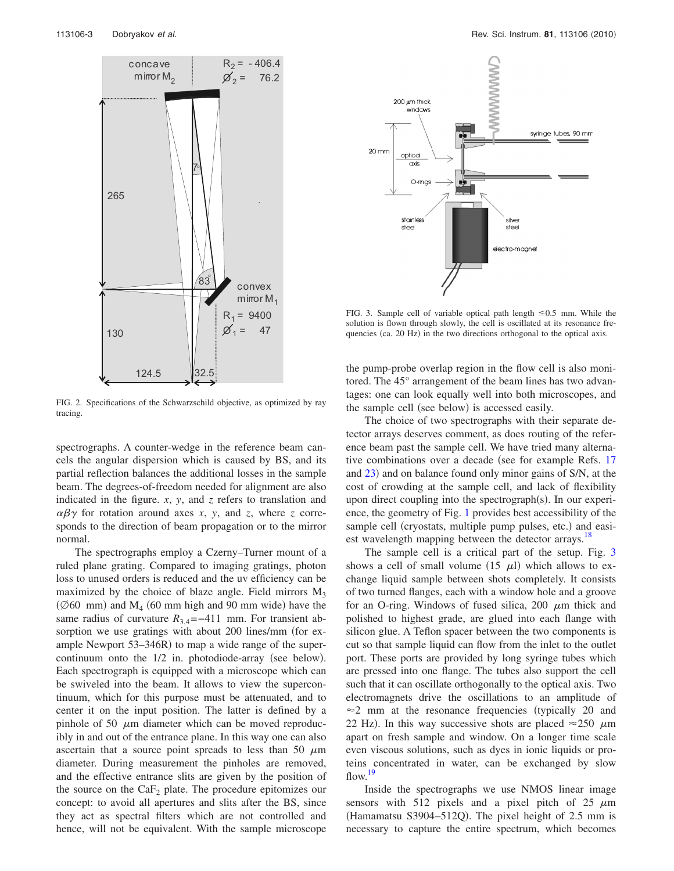<span id="page-3-0"></span>

FIG. 2. Specifications of the Schwarzschild objective, as optimized by ray tracing.

spectrographs. A counter-wedge in the reference beam cancels the angular dispersion which is caused by BS, and its partial reflection balances the additional losses in the sample beam. The degrees-of-freedom needed for alignment are also indicated in the figure. *x*, *y*, and *z* refers to translation and  $\alpha\beta\gamma$  for rotation around axes *x*, *y*, and *z*, where *z* corresponds to the direction of beam propagation or to the mirror normal.

The spectrographs employ a Czerny–Turner mount of a ruled plane grating. Compared to imaging gratings, photon loss to unused orders is reduced and the uv efficiency can be maximized by the choice of blaze angle. Field mirrors  $M_3$ ( $\emptyset$ 60 mm) and M<sub>4</sub> (60 mm high and 90 mm wide) have the same radius of curvature  $R_{3,4}$ =−411 mm. For transient absorption we use gratings with about 200 lines/mm (for example Newport  $53-346R$ ) to map a wide range of the supercontinuum onto the 1/2 in. photodiode-array (see below). Each spectrograph is equipped with a microscope which can be swiveled into the beam. It allows to view the supercontinuum, which for this purpose must be attenuated, and to center it on the input position. The latter is defined by a pinhole of 50  $\mu$ m diameter which can be moved reproducibly in and out of the entrance plane. In this way one can also ascertain that a source point spreads to less than 50  $\mu$ m diameter. During measurement the pinholes are removed, and the effective entrance slits are given by the position of the source on the  $CaF<sub>2</sub>$  plate. The procedure epitomizes our concept: to avoid all apertures and slits after the BS, since they act as spectral filters which are not controlled and hence, will not be equivalent. With the sample microscope

<span id="page-3-1"></span>

FIG. 3. Sample cell of variable optical path length  $\leq 0.5$  mm. While the solution is flown through slowly, the cell is oscillated at its resonance frequencies (ca. 20 Hz) in the two directions orthogonal to the optical axis.

the pump-probe overlap region in the flow cell is also monitored. The 45° arrangement of the beam lines has two advantages: one can look equally well into both microscopes, and the sample cell (see below) is accessed easily.

The choice of two spectrographs with their separate detector arrays deserves comment, as does routing of the reference beam past the sample cell. We have tried many alterna-tive combinations over a decade (see for example Refs. [17](#page-9-10) and [23](#page-9-11)) and on balance found only minor gains of S/N, at the cost of crowding at the sample cell, and lack of flexibility upon direct coupling into the spectrograph(s). In our experience, the geometry of Fig. [1](#page-2-0) provides best accessibility of the sample cell (cryostats, multiple pump pulses, etc.) and easiest wavelength mapping between the detector arrays.<sup>18</sup>

The sample cell is a critical part of the setup. Fig. [3](#page-3-1) shows a cell of small volume  $(15 \mu l)$  which allows to exchange liquid sample between shots completely. It consists of two turned flanges, each with a window hole and a groove for an O-ring. Windows of fused silica,  $200 \mu m$  thick and polished to highest grade, are glued into each flange with silicon glue. A Teflon spacer between the two components is cut so that sample liquid can flow from the inlet to the outlet port. These ports are provided by long syringe tubes which are pressed into one flange. The tubes also support the cell such that it can oscillate orthogonally to the optical axis. Two electromagnets drive the oscillations to an amplitude of  $\approx$  2 mm at the resonance frequencies (typically 20 and 22 Hz). In this way successive shots are placed  $\approx$  250  $\mu$ m apart on fresh sample and window. On a longer time scale even viscous solutions, such as dyes in ionic liquids or proteins concentrated in water, can be exchanged by slow flow.<sup>19</sup>

Inside the spectrographs we use NMOS linear image sensors with 512 pixels and a pixel pitch of 25  $\mu$ m (Hamamatsu S3904-512Q). The pixel height of 2.5 mm is necessary to capture the entire spectrum, which becomes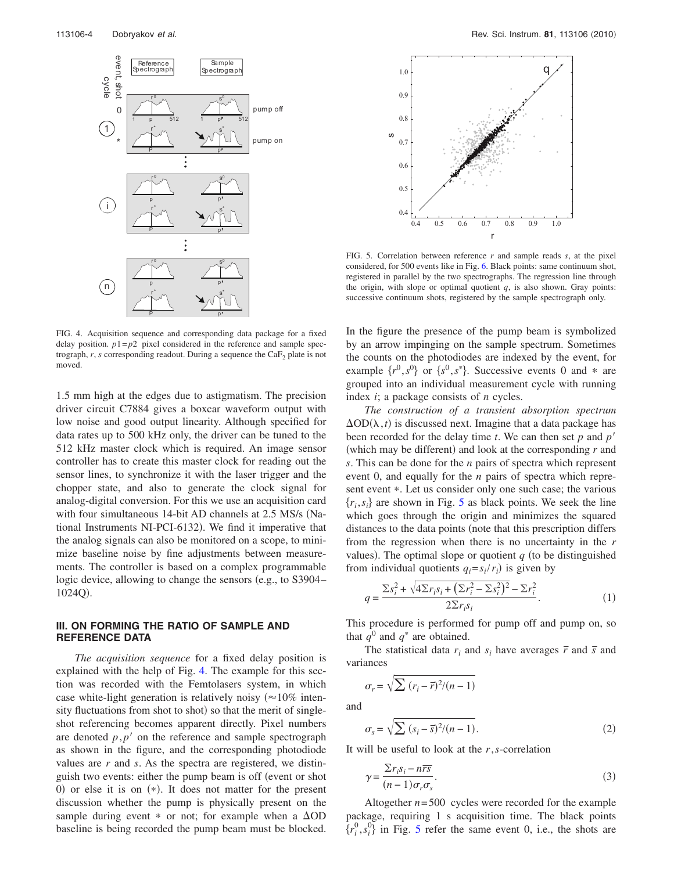<span id="page-4-0"></span>

FIG. 4. Acquisition sequence and corresponding data package for a fixed delay position.  $p1=p2$  pixel considered in the reference and sample spectrograph,  $r$ ,  $s$  corresponding readout. During a sequence the  $CaF<sub>2</sub>$  plate is not moved.

1.5 mm high at the edges due to astigmatism. The precision driver circuit C7884 gives a boxcar waveform output with low noise and good output linearity. Although specified for data rates up to 500 kHz only, the driver can be tuned to the 512 kHz master clock which is required. An image sensor controller has to create this master clock for reading out the sensor lines, to synchronize it with the laser trigger and the chopper state, and also to generate the clock signal for analog-digital conversion. For this we use an acquisition card with four simultaneous 14-bit AD channels at 2.5 MS/s (National Instruments NI-PCI-6132. We find it imperative that the analog signals can also be monitored on a scope, to minimize baseline noise by fine adjustments between measurements. The controller is based on a complex programmable logic device, allowing to change the sensors (e.g., to S3904– 1024Q).

## **III. ON FORMING THE RATIO OF SAMPLE AND REFERENCE DATA**

*The acquisition sequence* for a fixed delay position is explained with the help of Fig. [4.](#page-4-0) The example for this section was recorded with the Femtolasers system, in which case white-light generation is relatively noisy ( $\approx$  10% intensity fluctuations from shot to shot) so that the merit of singleshot referencing becomes apparent directly. Pixel numbers are denoted  $p$ , $p'$  on the reference and sample spectrograph as shown in the figure, and the corresponding photodiode values are *r* and *s*. As the spectra are registered, we distinguish two events: either the pump beam is off (event or shot  $0$ ) or else it is on  $(*)$ . It does not matter for the present discussion whether the pump is physically present on the sample during event  $*$  or not; for example when a  $\Delta OD$ baseline is being recorded the pump beam must be blocked.

<span id="page-4-1"></span>

FIG. 5. Correlation between reference *r* and sample reads *s*, at the pixel considered, for 500 events like in Fig. [6.](#page-5-0) Black points: same continuum shot, registered in parallel by the two spectrographs. The regression line through the origin, with slope or optimal quotient  $q$ , is also shown. Gray points: successive continuum shots, registered by the sample spectrograph only.

In the figure the presence of the pump beam is symbolized by an arrow impinging on the sample spectrum. Sometimes the counts on the photodiodes are indexed by the event, for example  $\{r^0, s^0\}$  or  $\{s^0, s^*\}$ . Successive events 0 and  $*$  are grouped into an individual measurement cycle with running index *i*; a package consists of *n* cycles.

*The construction of a transient absorption spectrum*  $\Delta$ OD $(\lambda, t)$  is discussed next. Imagine that a data package has been recorded for the delay time *t*. We can then set *p* and *p*- (which may be different) and look at the corresponding *r* and *s*. This can be done for the *n* pairs of spectra which represent event 0, and equally for the *n* pairs of spectra which represent event  $*$ . Let us consider only one such case; the various  ${r_i, s_i}$  are shown in Fig. [5](#page-4-1) as black points. We seek the line which goes through the origin and minimizes the squared distances to the data points (note that this prescription differs from the regression when there is no uncertainty in the *r* values). The optimal slope or quotient  $q$  (to be distinguished from individual quotients  $q_i = s_i / r_i$  is given by

$$
q = \frac{\sum s_i^2 + \sqrt{4\sum r_i s_i + (\sum r_i^2 - \sum s_i^2)^2} - \sum r_i^2}{2\sum r_i s_i}.
$$
 (1)

This procedure is performed for pump off and pump on, so that  $q^0$  and  $q^*$  are obtained.

The statistical data  $r_i$  and  $s_i$  have averages  $\bar{r}$  and  $\bar{s}$  and variances

$$
\sigma_r = \sqrt{\sum (r_i - \overline{r})^2 / (n - 1)}
$$

and

$$
\sigma_s = \sqrt{\sum (s_i - \overline{s})^2 / (n - 1)}.
$$
\n(2)

It will be useful to look at the *r*,*s*-correlation

$$
\gamma = \frac{\sum r_i s_i - n\overline{rs}}{(n-1)\sigma_r \sigma_s}.
$$
\n(3)

Altogether  $n = 500$  cycles were recorded for the example package, requiring 1 s acquisition time. The black points  $\{r_i^0, s_i^0\}$  in Fig. [5](#page-4-1) refer the same event 0, i.e., the shots are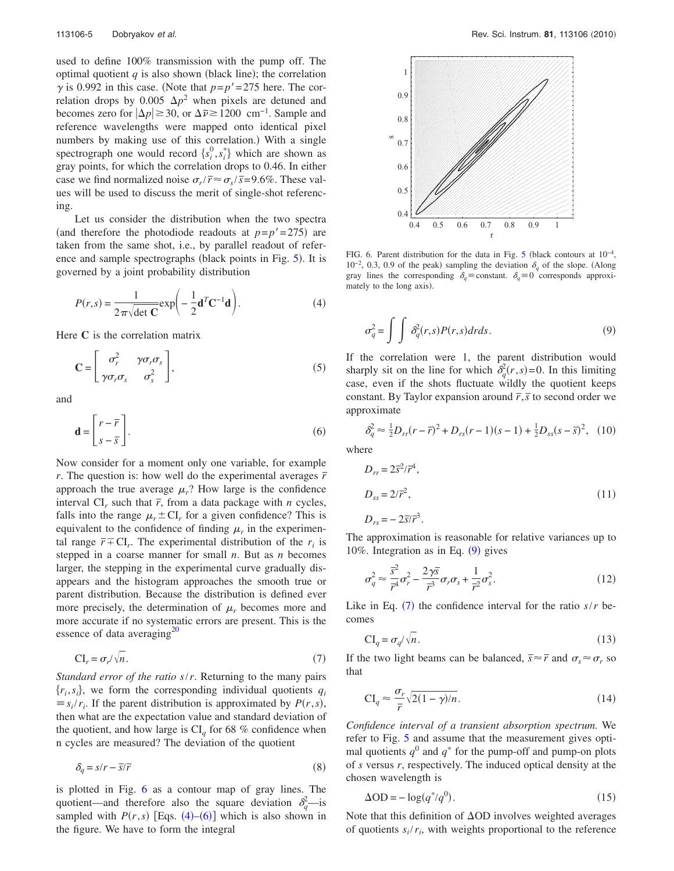used to define 100% transmission with the pump off. The optimal quotient  $q$  is also shown (black line); the correlation  $\gamma$  is 0.992 in this case. (Note that  $p=p'=275$  here. The correlation drops by 0.005  $\Delta p^2$  when pixels are detuned and becomes zero for  $|\Delta p| \ge 30$ , or  $\Delta \tilde{\nu} \ge 1200$  cm<sup>-1</sup>. Sample and reference wavelengths were mapped onto identical pixel numbers by making use of this correlation.) With a single spectrograph one would record  $\{s_i^0, s_i^*\}$  which are shown as gray points, for which the correlation drops to 0.46. In either case we find normalized noise  $\sigma_r/\bar{r} \approx \sigma_s/\bar{s} = 9.6\%$ . These values will be used to discuss the merit of single-shot referencing.

Let us consider the distribution when the two spectra (and therefore the photodiode readouts at  $p=p'=275$ ) are taken from the same shot, i.e., by parallel readout of refer-ence and sample spectrographs (black points in Fig. [5](#page-4-1)). It is governed by a joint probability distribution

<span id="page-5-1"></span>
$$
P(r,s) = \frac{1}{2\pi\sqrt{\det\mathbf{C}}} \exp\left(-\frac{1}{2}\mathbf{d}^T\mathbf{C}^{-1}\mathbf{d}\right).
$$
 (4)

Here **C** is the correlation matrix

$$
\mathbf{C} = \begin{bmatrix} \sigma_r^2 & \gamma \sigma_r \sigma_s \\ \gamma \sigma_r \sigma_s & \sigma_s^2 \end{bmatrix},
$$
 (5)

<span id="page-5-2"></span>and

$$
\mathbf{d} = \begin{bmatrix} r - \overline{r} \\ s - \overline{s} \end{bmatrix} . \tag{6}
$$

Now consider for a moment only one variable, for example *r*. The question is: how well do the experimental averages  $\bar{r}$ approach the true average  $\mu_r$ ? How large is the confidence interval  $CI_r$  such that  $\bar{r}$ , from a data package with *n* cycles, falls into the range  $\mu_r \pm \text{CI}_r$  for a given confidence? This is equivalent to the confidence of finding  $\mu_r$  in the experimental range  $\bar{r} \mp \text{CI}_r$ . The experimental distribution of the  $r_i$  is stepped in a coarse manner for small *n*. But as *n* becomes larger, the stepping in the experimental curve gradually disappears and the histogram approaches the smooth true or parent distribution. Because the distribution is defined ever more precisely, the determination of  $\mu_r$  becomes more and more accurate if no systematic errors are present. This is the essence of data averaging $^{20}$ 

$$
CI_r = \sigma_r / \sqrt{n}.\tag{7}
$$

<span id="page-5-4"></span>*Standard error of the ratio s*/*r*. Returning to the many pairs  $\{r_i, s_i\}$ , we form the corresponding individual quotients  $q_i$  $\equiv s_i/r_i$ . If the parent distribution is approximated by  $P(r, s)$ , then what are the expectation value and standard deviation of the quotient, and how large is  $CI_q$  for 68 % confidence when n cycles are measured? The deviation of the quotient

<span id="page-5-7"></span>
$$
\delta_q = s/r - \overline{s}/\overline{r} \tag{8}
$$

is plotted in Fig. [6](#page-5-0) as a contour map of gray lines. The quotient—and therefore also the square deviation  $\delta_q^2$ —is sampled with  $P(r, s)$  [Eqs.  $(4)$  $(4)$  $(4)$ – $(6)$  $(6)$  $(6)$ ] which is also shown in the figure. We have to form the integral

<span id="page-5-0"></span>

FIG. 6. Parent distribution for the data in Fig. [5](#page-4-1) (black contours at  $10^{-4}$ ,  $10^{-2}$ , 0.3, 0.9 of the peak) sampling the deviation  $\delta_q$  of the slope. (Along gray lines the corresponding  $\delta_q \equiv$  constant.  $\delta_q \equiv 0$  corresponds approximately to the long axis).

<span id="page-5-3"></span>
$$
\sigma_q^2 = \int \int \delta_q^2(r,s) P(r,s) dr ds. \tag{9}
$$

If the correlation were 1, the parent distribution would sharply sit on the line for which  $\delta_q^2(r,s) = 0$ . In this limiting case, even if the shots fluctuate wildly the quotient keeps constant. By Taylor expansion around  $\bar{r}$ ,  $\bar{s}$  to second order we approximate

$$
\delta_q^2 \approx \frac{1}{2} D_{rr} (r - \bar{r})^2 + D_{rs} (r - 1)(s - 1) + \frac{1}{2} D_{ss} (s - \bar{s})^2, \tag{10}
$$

where

$$
D_{rr} = 2\overline{s}^2/\overline{r}^4,
$$
  
\n
$$
D_{ss} = 2/\overline{r}^2,
$$
  
\n
$$
D_{rs} = -2\overline{s}/\overline{r}^3.
$$
\n(11)

The approximation is reasonable for relative variances up to 10%. Integration as in Eq.  $(9)$  $(9)$  $(9)$  gives

$$
\sigma_q^2 \approx \frac{\overline{s}^2}{\overline{r}^4} \sigma_r^2 - \frac{2\gamma \overline{s}}{\overline{r}^3} \sigma_r \sigma_s + \frac{1}{\overline{r}^2} \sigma_s^2. \tag{12}
$$

Like in Eq.  $(7)$  $(7)$  $(7)$  the confidence interval for the ratio  $s/r$  becomes

$$
CI_q = \sigma_{q'} \sqrt{n}.
$$
 (13)

<span id="page-5-5"></span>If the two light beams can be balanced,  $\bar{s} \approx \bar{r}$  and  $\sigma_s \approx \sigma_r$  so that

<span id="page-5-6"></span>
$$
CI_q \approx \frac{\sigma_r}{\bar{r}} \sqrt{2(1-\gamma)/n}.
$$
 (14)

*Confidence interval of a transient absorption spectrum.* We refer to Fig. [5](#page-4-1) and assume that the measurement gives optimal quotients  $q^0$  and  $q^*$  for the pump-off and pump-on plots of *s* versus *r*, respectively. The induced optical density at the chosen wavelength is

$$
\Delta OD = -\log(q^*/q^0). \tag{15}
$$

Note that this definition of  $\Delta$ OD involves weighted averages of quotients  $s_i/r_i$ , with weights proportional to the reference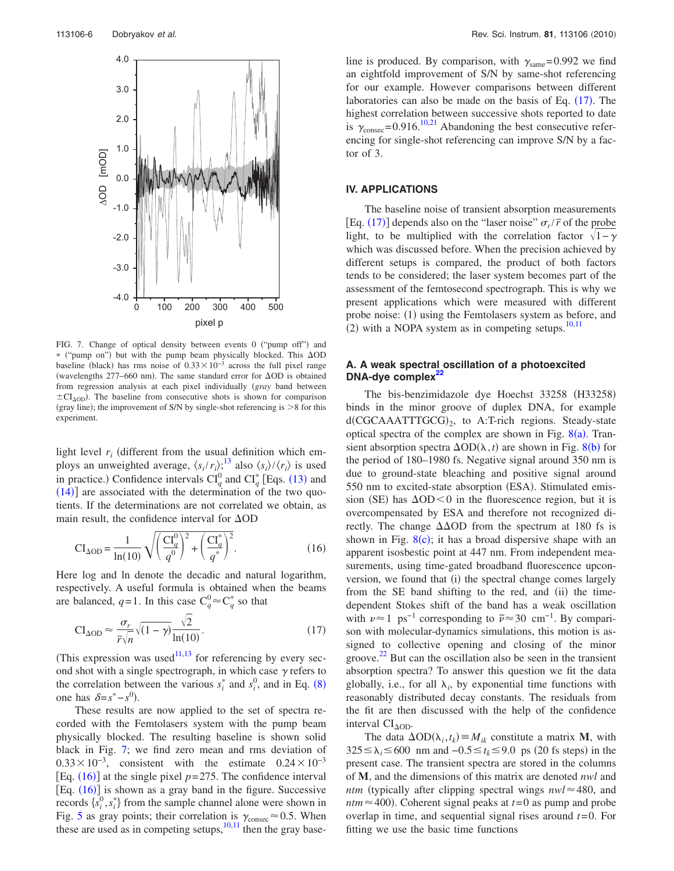<span id="page-6-0"></span>

FIG. 7. Change of optical density between events 0 ("pump off") and \* ("pump on") but with the pump beam physically blocked. This  $\Delta OD$ baseline (black) has rms noise of  $0.33 \times 10^{-3}$  across the full pixel range (wavelengths 277–660 nm). The same standard error for  $\Delta OD$  is obtained from regression analysis at each pixel individually (gray band between  $\pm$ CI<sub>AOD</sub>). The baseline from consecutive shots is shown for comparison (gray line); the improvement of S/N by single-shot referencing is  $>8$  for this experiment.

light level  $r_i$  (different from the usual definition which employs an unweighted average,  $\langle s_i/r_i \rangle$ ;<sup>[13](#page-9-6)</sup> also  $\langle s_i \rangle / \langle r_i \rangle$  is used in practice.) Confidence intervals  $CI_q^0$  and  $CI_q^*$  [Eqs. ([13](#page-5-5)) and  $(14)$  $(14)$  $(14)$ ] are associated with the determination of the two quotients. If the determinations are not correlated we obtain, as main result, the confidence interval for  $\Delta OD$ 

<span id="page-6-1"></span>
$$
CI_{\Delta OD} = \frac{1}{\ln(10)} \sqrt{\left(\frac{CI_q^0}{q^0}\right)^2 + \left(\frac{CI_q^*}{q^*}\right)^2}.
$$
 (16)

Here log and ln denote the decadic and natural logarithm, respectively. A useful formula is obtained when the beams are balanced,  $q=1$ . In this case  $C_q^0 \approx C_q^*$  so that

<span id="page-6-2"></span>
$$
CI_{\Delta OD} \approx \frac{\sigma_r}{\bar{r}\sqrt{n}}\sqrt{(1-\gamma)}\frac{\sqrt{2}}{\ln(10)}.\tag{17}
$$

(This expression was used $11,13$  $11,13$  for referencing by every second shot with a single spectrograph, in which case  $\gamma$  refers to the correlation between the various  $s_i^*$  and  $s_i^0$ , and in Eq. ([8](#page-5-7)) one has  $\delta = s^* - s^0$ ).

These results are now applied to the set of spectra recorded with the Femtolasers system with the pump beam physically blocked. The resulting baseline is shown solid black in Fig. [7;](#page-6-0) we find zero mean and rms deviation of  $0.33 \times 10^{-3}$ , consistent with the estimate  $0.24 \times 10^{-3}$ [Eq.  $(16)$  $(16)$  $(16)$ ] at the single pixel  $p=275$ . The confidence interval [Eq.  $(16)$  $(16)$  $(16)$ ] is shown as a gray band in the figure. Successive records  $\{s_i^0, s_i^*\}$  from the sample channel alone were shown in Fig. [5](#page-4-1) as gray points; their correlation is  $\gamma_{\text{consec}} \approx 0.5$ . When these are used as in competing setups, $\frac{10,11}{10}$  $\frac{10,11}{10}$  $\frac{10,11}{10}$  then the gray base-

line is produced. By comparison, with  $\gamma_{\text{same}} = 0.992$  we find an eightfold improvement of S/N by same-shot referencing for our example. However comparisons between different laboratories can also be made on the basis of Eq.  $(17)$  $(17)$  $(17)$ . The highest correlation between successive shots reported to date is  $\gamma_{\text{consec}} = 0.916$ .<sup>10[,21](#page-9-15)</sup> Abandoning the best consecutive referencing for single-shot referencing can improve S/N by a factor of 3.

#### **IV. APPLICATIONS**

The baseline noise of transient absorption measurements  $[Eq. (17)]$  $[Eq. (17)]$  $[Eq. (17)]$  depends also on the "laser noise"  $\sigma_r/\bar{r}$  of the probe light, to be multiplied with the correlation factor  $\sqrt{1-\gamma}$ which was discussed before. When the precision achieved by different setups is compared, the product of both factors tends to be considered; the laser system becomes part of the assessment of the femtosecond spectrograph. This is why we present applications which were measured with different probe noise: (1) using the Femtolasers system as before, and  $(2)$  with a NOPA system as in competing setups.<sup>10,[11](#page-9-4)</sup>

## **A. A weak spectral oscillation of a photoexcited DNA-dye complex[22](#page-9-16)**

The bis-benzimidazole dye Hoechst 33258 (H33258) binds in the minor groove of duplex DNA, for example d(CGCAAATTTGCG)<sub>2</sub>, to A:T-rich regions. Steady-state optical spectra of the complex are shown in Fig.  $8(a)$  $8(a)$ . Transient absorption spectra  $\Delta OD(\lambda, t)$  are shown in Fig. [8](#page-7-0)(b) for the period of 180–1980 fs. Negative signal around 350 nm is due to ground-state bleaching and positive signal around 550 nm to excited-state absorption (ESA). Stimulated emission (SE) has  $\Delta OD < 0$  in the fluorescence region, but it is overcompensated by ESA and therefore not recognized directly. The change  $\Delta\Delta$ OD from the spectrum at 180 fs is shown in Fig.  $8(c)$  $8(c)$ ; it has a broad dispersive shape with an apparent isosbestic point at 447 nm. From independent measurements, using time-gated broadband fluorescence upconversion, we found that (i) the spectral change comes largely from the SE band shifting to the red, and (ii) the timedependent Stokes shift of the band has a weak oscillation with  $\nu \approx 1 \text{ ps}^{-1}$  corresponding to  $\tilde{\nu} \approx 30 \text{ cm}^{-1}$ . By comparison with molecular-dynamics simulations, this motion is assigned to collective opening and closing of the minor groove.<sup>[22](#page-9-16)</sup> But can the oscillation also be seen in the transient absorption spectra? To answer this question we fit the data globally, i.e., for all  $\lambda_i$ , by exponential time functions with reasonably distributed decay constants. The residuals from the fit are then discussed with the help of the confidence interval  $CI<sub>ΔOD</sub>$ .

The data  $\Delta OD(\lambda_i, t_k) \equiv M_{ik}$  constitute a matrix **M**, with  $325 \le \lambda_i \le 600$  nm and  $-0.5 \le t_k \le 9.0$  ps (20 fs steps) in the present case. The transient spectra are stored in the columns of **M**, and the dimensions of this matrix are denoted *nwl* and *ntm* (typically after clipping spectral wings  $nwl \approx 480$ , and *ntm* $\approx$ 400). Coherent signal peaks at *t*=0 as pump and probe overlap in time, and sequential signal rises around *t*= 0. For fitting we use the basic time functions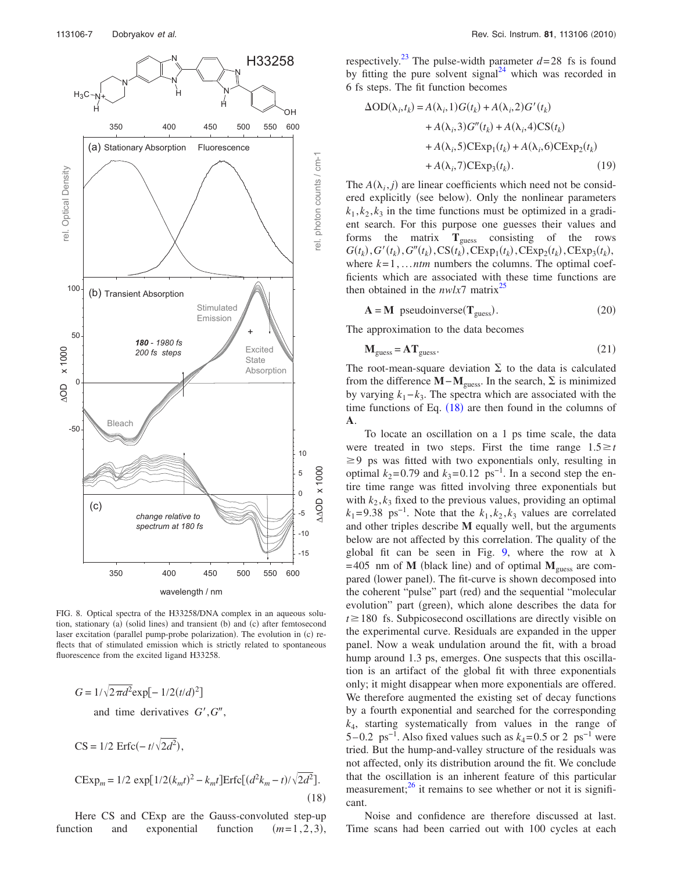<span id="page-7-0"></span>

FIG. 8. Optical spectra of the H33258/DNA complex in an aqueous solution, stationary (a) (solid lines) and transient (b) and (c) after femtosecond laser excitation (parallel pump-probe polarization). The evolution in (c) reflects that of stimulated emission which is strictly related to spontaneous fluorescence from the excited ligand H33258.

<span id="page-7-1"></span>
$$
G = 1/\sqrt{2\pi d^2} \exp[-1/2(t/d)^2]
$$
  
and time derivatives  $G', G'',$   

$$
CS = 1/2 \operatorname{Erfc}(-t/\sqrt{2d^2}),
$$
  

$$
\operatorname{CExp}_m = 1/2 \exp[1/2(k_m t)^2 - k_m t] \operatorname{Erfc}[(d^2 k_m - t)/\sqrt{2d^2}].
$$

Here CS and CExp are the Gauss-convoluted step-up function and exponential function  $(m=1,2,3),$ 

 $(18)$ 

respectively.<sup>23</sup> The pulse-width parameter  $d=28$  fs is found by fitting the pure solvent signal<sup>24</sup> which was recorded in 6 fs steps. The fit function becomes

$$
\Delta OD(\lambda_i, t_k) = A(\lambda_i, 1)G(t_k) + A(\lambda_i, 2)G'(t_k)
$$
  
+  $A(\lambda_i, 3)G''(t_k) + A(\lambda_i, 4)CS(t_k)$   
+  $A(\lambda_i, 5)CExp_1(t_k) + A(\lambda_i, 6)CExp_2(t_k)$   
+  $A(\lambda_i, 7)CExp_3(t_k)$ . (19)

The  $A(\lambda_i, j)$  are linear coefficients which need not be considered explicitly (see below). Only the nonlinear parameters  $k_1, k_2, k_3$  in the time functions must be optimized in a gradient search. For this purpose one guesses their values and forms the matrix **T**guess consisting of the rows  $G(t_k)$ ,  $G'(t_k)$ ,  $G''(t_k)$ ,  $CS(t_k)$ ,  $CExp_1(t_k)$ ,  $CExp_2(t_k)$ ,  $CExp_3(t_k)$ , where  $k=1,...ntm$  numbers the columns. The optimal coefficients which are associated with these time functions are then obtained in the  $nwlx^2$  matrix<sup>[25](#page-9-18)</sup>

$$
\mathbf{A} = \mathbf{M} \text{ pseudoinverse}(\mathbf{T}_{\text{guess}}). \tag{20}
$$

The approximation to the data becomes

$$
\mathbf{M}_{\text{guess}} = \mathbf{A} \mathbf{T}_{\text{guess}}.\tag{21}
$$

The root-mean-square deviation  $\Sigma$  to the data is calculated from the difference  $M - M_{\text{guess}}$ . In the search,  $\Sigma$  is minimized by varying  $k_1 - k_3$ . The spectra which are associated with the time functions of Eq.  $(18)$  $(18)$  $(18)$  are then found in the columns of **A**.

To locate an oscillation on a 1 ps time scale, the data were treated in two steps. First the time range  $1.5 \ge t$  $\geq$  9 ps was fitted with two exponentials only, resulting in optimal  $k_2$ =0.79 and  $k_3$ =0.12 ps<sup>-1</sup>. In a second step the entire time range was fitted involving three exponentials but with  $k_2, k_3$  fixed to the previous values, providing an optimal  $k_1 = 9.38 \text{ ps}^{-1}$ . Note that the  $k_1, k_2, k_3$  values are correlated and other triples describe **M** equally well, but the arguments below are not affected by this correlation. The quality of the global fit can be seen in Fig. [9,](#page-8-0) where the row at  $\lambda$  $= 405$  nm of **M** (black line) and of optimal  $M_{\text{guess}}$  are compared (lower panel). The fit-curve is shown decomposed into the coherent "pulse" part (red) and the sequential "molecular evolution" part (green), which alone describes the data for  $t \ge 180$  fs. Subpicosecond oscillations are directly visible on the experimental curve. Residuals are expanded in the upper panel. Now a weak undulation around the fit, with a broad hump around 1.3 ps, emerges. One suspects that this oscillation is an artifact of the global fit with three exponentials only; it might disappear when more exponentials are offered. We therefore augmented the existing set of decay functions by a fourth exponential and searched for the corresponding *k*4, starting systematically from values in the range of 5 – 0.2 ps<sup>-1</sup>. Also fixed values such as  $k_4$  = 0.5 or 2 ps<sup>-1</sup> were tried. But the hump-and-valley structure of the residuals was not affected, only its distribution around the fit. We conclude that the oscillation is an inherent feature of this particular measurement; $^{26}$  it remains to see whether or not it is significant.

Noise and confidence are therefore discussed at last. Time scans had been carried out with 100 cycles at each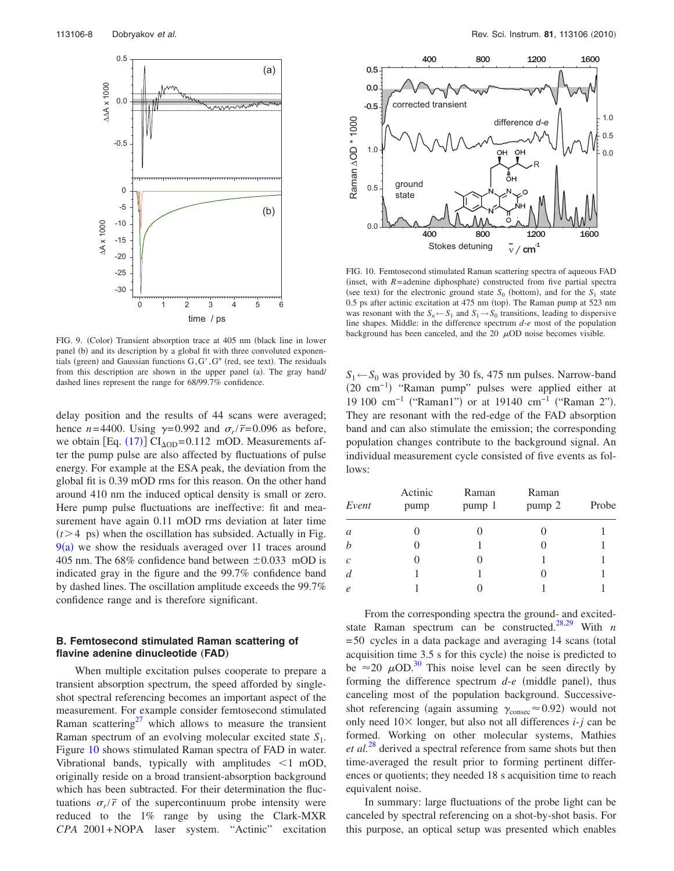<span id="page-8-0"></span>

FIG. 9. (Color) Transient absorption trace at 405 nm (black line in lower panel (b) and its description by a global fit with three convoluted exponentials (green) and Gaussian functions G, G', G" (red, see text). The residuals from this description are shown in the upper panel (a). The gray band/ dashed lines represent the range for 68/99.7% confidence.

delay position and the results of 44 scans were averaged; hence  $n = 4400$ . Using  $\gamma = 0.992$  and  $\sigma_r/\bar{r} = 0.096$  as before, we obtain  $[Eq. (17)] CI<sub>AOD</sub>=0.112 \text{ mOD}$  $[Eq. (17)] CI<sub>AOD</sub>=0.112 \text{ mOD}$  $[Eq. (17)] CI<sub>AOD</sub>=0.112 \text{ mOD}$ . Measurements after the pump pulse are also affected by fluctuations of pulse energy. For example at the ESA peak, the deviation from the global fit is 0.39 mOD rms for this reason. On the other hand around 410 nm the induced optical density is small or zero. Here pump pulse fluctuations are ineffective: fit and measurement have again 0.11 mOD rms deviation at later time  $(t>4$  ps) when the oscillation has subsided. Actually in Fig.  $9(a)$  $9(a)$  we show the residuals averaged over 11 traces around 405 nm. The 68% confidence band between  $\pm 0.033$  mOD is indicated gray in the figure and the 99.7% confidence band by dashed lines. The oscillation amplitude exceeds the 99.7% confidence range and is therefore significant.

## **B. Femtosecond stimulated Raman scattering of** flavine adenine dinucleotide (FAD)

When multiple excitation pulses cooperate to prepare a transient absorption spectrum, the speed afforded by singleshot spectral referencing becomes an important aspect of the measurement. For example consider femtosecond stimulated Raman scattering<sup>27</sup> which allows to measure the transient Raman spectrum of an evolving molecular excited state *S*1. Figure [10](#page-8-1) shows stimulated Raman spectra of FAD in water. Vibrational bands, typically with amplitudes  $\leq 1$  mOD, originally reside on a broad transient-absorption background which has been subtracted. For their determination the fluctuations  $\sigma_r/\bar{r}$  of the supercontinuum probe intensity were reduced to the 1% range by using the Clark-MXR *CPA* 2001+NOPA laser system. "Actinic" excitation

<span id="page-8-1"></span>

FIG. 10. Femtosecond stimulated Raman scattering spectra of aqueous FAD (inset, with  $R$ =adenine diphosphate) constructed from five partial spectra (see text) for the electronic ground state  $S_0$  (bottom), and for the  $S_1$  state 0.5 ps after actinic excitation at 475 nm (top). The Raman pump at 523 nm was resonant with the  $S_n \leftarrow S_1$  and  $S_1 \rightarrow S_0$  transitions, leading to dispersive line shapes. Middle: in the difference spectrum *d*-*e* most of the population background has been canceled, and the  $20 \mu$ OD noise becomes visible.

 $S_1 \leftarrow S_0$  was provided by 30 fs, 475 nm pulses. Narrow-band -20 cm−1 "Raman pump" pulses were applied either at 19 100 cm<sup>-1</sup> ("Raman1") or at 19140 cm<sup>-1</sup> ("Raman 2"). They are resonant with the red-edge of the FAD absorption band and can also stimulate the emission; the corresponding population changes contribute to the background signal. An individual measurement cycle consisted of five events as follows:

| Event          | Actinic<br>pump | Raman<br>pump 1 | Raman<br>pump 2 | Probe |
|----------------|-----------------|-----------------|-----------------|-------|
| $\mathfrak a$  |                 |                 |                 |       |
|                |                 |                 |                 |       |
| $\mathcal{C}$  |                 |                 |                 |       |
| $\overline{d}$ |                 |                 |                 |       |
| $\ell$         |                 |                 |                 |       |

From the corresponding spectra the ground- and excited-state Raman spectrum can be constructed.<sup>28[,29](#page-9-22)</sup> With  $n$  $= 50$  cycles in a data package and averaging 14 scans (total acquisition time  $3.5$  s for this cycle) the noise is predicted to be  $\approx$  20  $\mu$ OD.<sup>30</sup> This noise level can be seen directly by forming the difference spectrum  $d$ - $e$  (middle panel), thus canceling most of the population background. Successiveshot referencing (again assuming  $\gamma_{\text{consec}} \approx 0.92$ ) would not only need  $10 \times$  longer, but also not all differences *i*-*j* can be formed. Working on other molecular systems, Mathies *et al.*[28](#page-9-21) derived a spectral reference from same shots but then time-averaged the result prior to forming pertinent differences or quotients; they needed 18 s acquisition time to reach equivalent noise.

In summary: large fluctuations of the probe light can be canceled by spectral referencing on a shot-by-shot basis. For this purpose, an optical setup was presented which enables